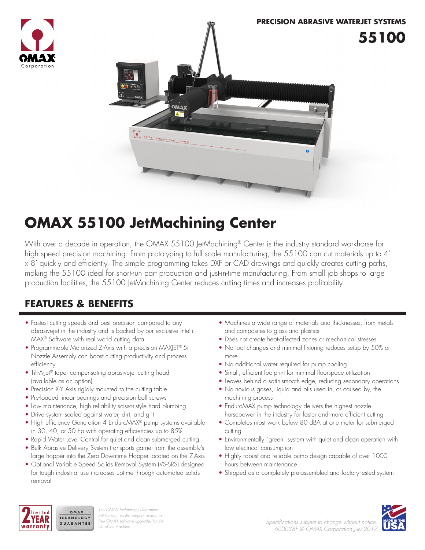



## **OMAX 55100 JetMachining Center**

With over a decade in operation, the OMAX 55100 JetMachining® Center is the industry standard workhorse for high speed precision machining. From prototyping to full scale manufacturing, the 55100 can cut materials up to 4' x 8' quickly and efficiently. The simple programming takes DXF or CAD drawings and quickly creates cutting paths, making the 55100 ideal for short-run part production and just-in-time manufacturing. From small job shops to large production facilities, the 55100 JetMachining Center reduces cutting times and increases profitability.

### **FEATURES & BENEFITS**

- Fastest cutting speeds and best precision compared to any abrasivejet in the industry and is backed by our exclusive Intelli-MAX® Software with real world cutting data
- Programmable Motorized Z-Axis with a precision MAXJET® 5i Nozzle Assembly can boost cutting productivity and process efficiency
- Tilt-A-Jet<sup>®</sup> taper compensating abrasivejet cutting head (available as an option)
- Precision X-Y Axis rigidly mounted to the cutting table
- Pre-loaded linear bearings and precision ball screws
- Low maintenance, high reliability scissor-style hard plumbing
- Drive system sealed against water, dirt, and grit

OMAX

- High efficiency Generation 4 EnduroMAX® pump systems available in 30, 40, or 50 hp with operating efficiencies up to 85%
- Rapid Water Level Control for quiet and clean submerged cutting
- Bulk Abrasive Delivery System transports garnet from the assembly's large hopper into the Zero Downtime Hopper located on the Z-Axis
- Optional Variable Speed Solids Removal System (VS-SRS) designed for tough industrial use increases uptime through automated solids removal
- Machines a wide range of materials and thicknesses, from metals and composites to glass and plastics
- Does not create heat-affected zones or mechanical stresses
- No tool changes and minimal fixturing reduces setup by 50% or more
- No additional water required for pump cooling
- Small, efficient footprint for minimal floorspace utilization
- Leaves behind a satin-smooth edge, reducing secondary operations
- No noxious gases, liquid and oils used in, or caused by, the machining process
- EnduroMAX pump technology delivers the highest nozzle horsepower in the industry for faster and more efficient cutting
- Completes most work below 80 dBA at one meter for submerged cutting
- Environmentally "green" system with quiet and clean operation with low electrical consumption
- Highly robust and reliable pump design capable of over 1000 hours between maintenance
- Shipped as a completely pre-assembled and factory-tested system